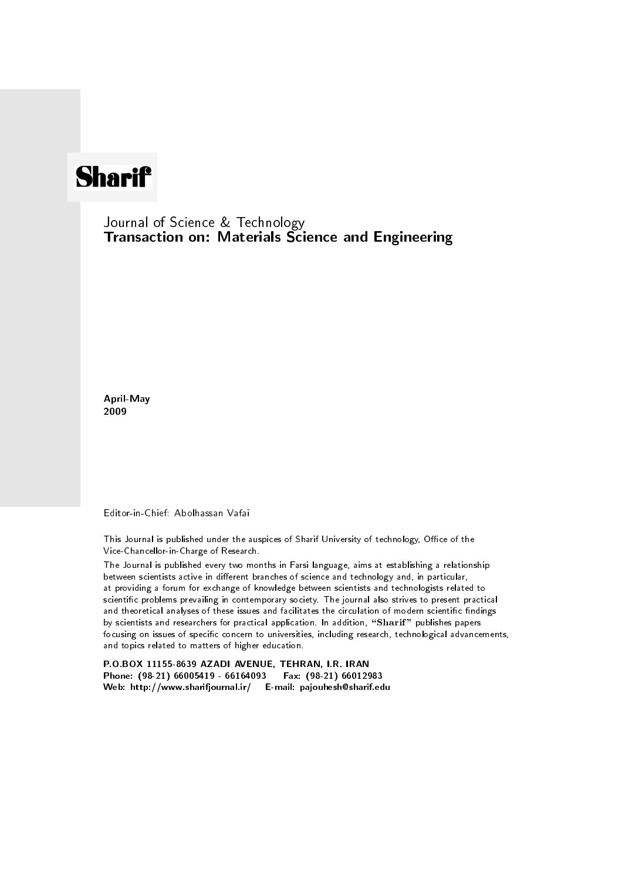## **Sharif**

Journal of Science & Technology Transaction on: Materials Science and Engineering

April-May 2009

Editor-in-Chief: Abolhassan Vafai

This Journal is published under the auspices of Sharif University of technology, Office of the Vice-Chancellor-in-Charge of Research.

The Journal is published every two months in Farsi language, aims at establishing a relationship between scientists active in different branches of science and technology and, in particular, at providing a forum for exchange of knowledge between scientists and technologists related to scientic problems prevailing in contemporary society. The journal also strives to present practical and theoretical analyses of these issues and facilitates the circulation of modern scientific findings by scientists and researchers for practical application. In addition, "Sharif" publishes papers focusing on issues of specific concern to universities, including research, technological advancements, and topics related to matters of higher education.

P.O.BOX 11155-8639 AZADI AVENUE, TEHRAN, I.R. IRAN Phone: (98-21) 66005419 - 66164093 Fax: (98-21) 66012983 Web: http://www.sharifjournal.ir/ E-mail: pajouhesh@sharif.edu